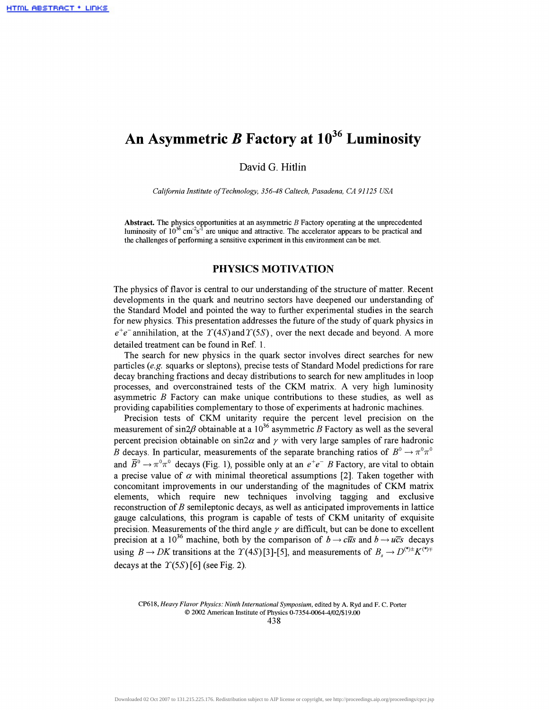# **An Asymmetric** *B* **Factory at 10<sup>36</sup> Luminosity**

David G. Hitlin

*California Institute of Technology, 356-48 Caltech, Pasadena, CA 91125 USA*

**Abstract.** The physics opportunities at an asymmetric *B* Factory operating at the unprecedented luminosity of  $10^{36}$  cm<sup>-2</sup>s<sup>-1</sup> are unique and attractive. The accelerator appears to be practical and the challenges of performing a sensitive experiment in this environment can be met.

# **PHYSICS MOTIVATION**

The physics of flavor is central to our understanding of the structure of matter. Recent developments in the quark and neutrino sectors have deepened our understanding of the Standard Model and pointed the way to further experimental studies in the search for new physics. This presentation addresses the future of the study of quark physics in  $e^+e^-$  annihilation, at the  $T(4S)$  and  $T(5S)$ , over the next decade and beyond. A more detailed treatment can be found in Ref. 1.

The search for new physics in the quark sector involves direct searches for new particles *(e.g.* squarks or sleptons), precise tests of Standard Model predictions for rare decay branching fractions and decay distributions to search for new amplitudes in loop processes, and overconstrained tests of the CKM matrix. A very high luminosity asymmetric *B* Factory can make unique contributions to these studies, as well as providing capabilities complementary to those of experiments at hadronic machines.

Precision tests of CKM unitarity require the percent level precision on the measurement of sin2 $\beta$  obtainable at a 10<sup>36</sup> asymmetric B Factory as well as the several percent precision obtainable on  $\sin 2\alpha$  and  $\gamma$  with very large samples of rare hadronic *B* decays. In particular, measurements of the separate branching ratios of  $B^0 \to \pi^0 \pi^0$ and  $\overline{B}^0 \to \pi^0 \pi^0$  decays (Fig. 1), possible only at an  $e^+e^-$  B Factory, are vital to obtain a precise value of  $\alpha$  with minimal theoretical assumptions [2]. Taken together with concomitant improvements in our understanding of the magnitudes of CKM matrix elements, which require new techniques involving tagging and exclusive reconstruction of *B* semileptonic decays, as well as anticipated improvements in lattice gauge calculations, this program is capable of tests of CKM unitarity of exquisite precision. Measurements of the third angle *y* are difficult, but can be done to excellent precision at a 10<sup>36</sup> machine, both by the comparison of  $b \rightarrow c\bar{u}s$  and  $b \rightarrow u\bar{c}s$  decays using  $B \to D K$  transitions at the  $\Upsilon(4S)[3]-[5]$ , and measurements of  $B \to D^{(*)+} K^{(*)+}$ decays at the  $T(5S)$  [6] (see Fig. 2).

CP618, *Heavy Flavor Physics: Ninth International Symposium,* edited by A. Ryd and F. C. Porter © 2002 American Institute of Physics 0-7354-0064-4/02/\$ 19.00

438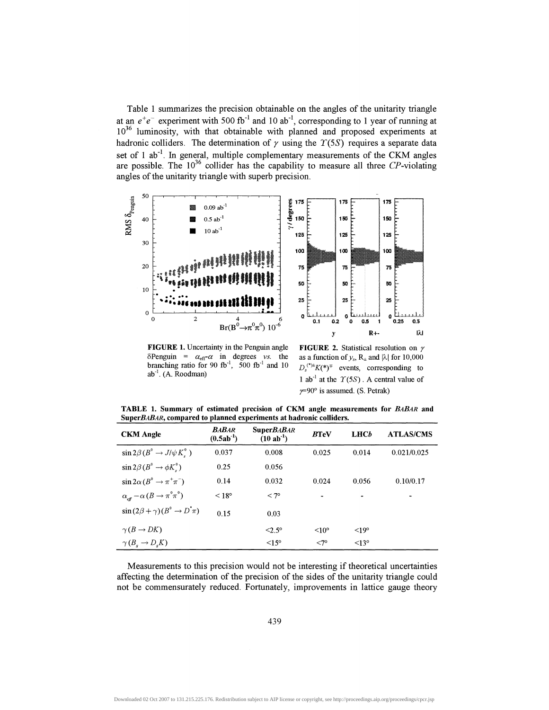Table 1 summarizes the precision obtainable on the angles of the unitarity triangle at an  $e^+e^-$  experiment with 500 fb<sup>-1</sup> and 10 ab<sup>-1</sup>, corresponding to 1 year of running at 10<sup>36</sup> luminosity, with that obtainable with planned and proposed experiments at hadronic colliders. The determination of  $\gamma$  using the  $T(5S)$  requires a separate data set of 1 ab<sup>-1</sup>. In general, multiple complementary measurements of the CKM angles are possible. The  $10^{36}$  collider has the capability to measure all three CP-violating angles of the unitarity triangle with superb precision.



**FIGURE 1.** Uncertainty in the Penguin angle **FIGURE** 2. Statistical resolution on *y*  $\delta$ Penguin =  $\alpha_{\text{eff}} \alpha$  in degrees *vs.* the as a function of  $y_s$ ,  $R_{\pm}$  and  $|\lambda|$  for 10,000 branching ratio for 90 fb<sup>-1</sup>, 500 fb<sup>-1</sup> and 10  $D_s^{(*)+}i$ <br>ab<sup>-1</sup>. (A. Roodman) 1 ab<sup>-1</sup>  $ab^{-1}$ . (A. Roodman)

 $D_s^{(*)\pm} K^{(*)\mp}$  events, corresponding to 1 ab<sup>-1</sup> at the  $\Upsilon(5S)$ . A central value of  $\gamma = 90^\circ$  is assumed. (S. Petrak)

**TABLE 1. Summary of estimated precision of CKM angle measurements for** *EABAR* **and** SuperBABAR, compared to planned experiments at hadronic colliders.

| <b>CKM</b> Angle                                              | <b>BABAR</b><br>$(0.5ab^{-1})$ | <b>SuperBABAR</b><br>$(10 \text{ ab}^{-1})$ | <b>BTeV</b>       | LHCb            | <b>ATLAS/CMS</b> |
|---------------------------------------------------------------|--------------------------------|---------------------------------------------|-------------------|-----------------|------------------|
| $\sin 2\beta (B^{\circ} \rightarrow J/\psi K^{\circ})$        | 0.037                          | 0.008                                       | 0.025             | 0.014           | 0.021/0.025      |
| $\sin 2\beta (B^{\circ} \rightarrow \phi K^{\circ})$          | 0.25                           | 0.056                                       |                   |                 |                  |
| $\sin 2\alpha (B^{\circ} \rightarrow \pi^+ \pi^-)$            | 0.14                           | 0.032                                       | 0.024             | 0.056           | 0.10/0.17        |
| $\alpha_{\text{eff}} - \alpha (B \to \pi^0 \pi^0)$            | $< 18^{\circ}$                 | $< 7^{\circ}$                               |                   |                 |                  |
| $\sin(2\beta + \gamma)(B^{\circ} \rightarrow D^{\dagger}\pi)$ | 0.15                           | 0.03                                        |                   |                 |                  |
| $\gamma(B\to DK)$                                             |                                | $<2.5^\circ$                                | $\leq 10^{\circ}$ | $\leq 19^\circ$ |                  |
| $\gamma(B_{\rm s} \to D_{\rm s} K)$                           |                                | $\leq$ 15°                                  | $<7^{\circ}$      | $\leq$ 13°      |                  |

Measurements to this precision would not be interesting if theoretical uncertainties affecting the determination of the precision of the sides of the unitarity triangle could not be commensurately reduced. Fortunately, improvements in lattice gauge theory

439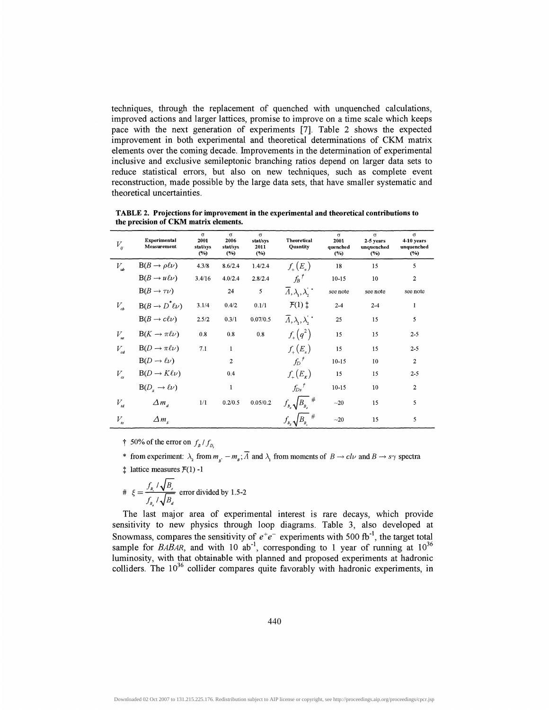techniques, through the replacement of quenched with unquenched calculations, improved actions and larger lattices, promise to improve on a time scale which keeps pace with the next generation of experiments [7]. Table 2 shows the expected improvement in both experimental and theoretical determinations of CKM matrix elements over the coming decade. Improvements in the determination of experimental inclusive and exclusive semileptonic branching ratios depend on larger data sets to reduce statistical errors, but also on new techniques, such as complete event reconstruction, made possible by the large data sets, that have smaller systematic and theoretical uncertainties.

| $V_{ij}$                        | <b>Experimental</b><br>Measurement | $\sigma$<br>2001<br>stat/sys<br>$(\%)$ | $\sigma$<br>2006<br>stat/sys<br>$($ %) | $\sigma$<br>stat/sys<br>2011<br>(%) | <b>Theoretical</b><br><b>Ouantity</b>     | $\sigma$<br>2001<br>quenched<br>(%) | $\sigma$<br>2-5 vears<br>unquenched<br>(°/°) | $\sigma$<br>4-10 vears<br>unquenched<br>(%) |
|---------------------------------|------------------------------------|----------------------------------------|----------------------------------------|-------------------------------------|-------------------------------------------|-------------------------------------|----------------------------------------------|---------------------------------------------|
| $V_{ub}$                        | $B(B \to \rho \ell \nu)$           | 4.3/8                                  | 8.6/2.4                                | 1.4/2.4                             | $f_{\perp}(E_{\perp})$                    | 18                                  | 15                                           | 5                                           |
|                                 | $B(B \to u \ell \nu)$              | 3.4/16                                 | 4.0/2.4                                | 2.8/2.4                             | $f_B$ <sup>†</sup>                        | $10-15$                             | 10                                           | $\overline{2}$                              |
|                                 | $B(B \to \tau \nu)$                |                                        | 24                                     | 5                                   | $\overline{\Lambda}, \lambda, \lambda,^*$ | see note                            | see note                                     | see note                                    |
| $V_{cb}$                        | $B(B \to D^* \ell \nu)$            | 3.1/4                                  | 0.4/2                                  | 0.1/1                               | $\mathcal{F}(1)$ $\ddagger$               | $2 - 4$                             | $2 - 4$                                      | 1                                           |
|                                 | $B(B \to c\ell\nu)$                | 2.5/2                                  | 0.3/1                                  | 0.07/0.5                            | $\overline{\Lambda}, \lambda, \lambda,^*$ | 25                                  | 15                                           | 5                                           |
| $V_{\scriptscriptstyle \rm us}$ | $B(K \to \pi \ell \nu)$            | 0.8                                    | 0.8                                    | 0.8                                 | $f_{+}(q^2)$                              | 15                                  | 15                                           | $2 - 5$                                     |
| $V_{cd}$                        | $B(D \to \pi \ell \nu)$            | 7.1                                    | 1                                      |                                     | $f_{\mu}(E_{\mu})$                        | 15                                  | 15                                           | $2 - 5$                                     |
|                                 | $B(D \to \ell \nu)$                |                                        | $\mathbf{2}$                           |                                     | $f_D^{\dagger}$                           | $10 - 15$                           | 10                                           | $\overline{2}$                              |
| $V_{\alpha}$                    | $B(D \to K\ell\nu)$                |                                        | 0.4                                    |                                     | $f_{\perp}(E_{\kappa})$                   | 15                                  | 15                                           | $2 - 5$                                     |
|                                 | $B(D_s \rightarrow \ell \nu)$      |                                        | 1                                      |                                     | $f_{Ds}^{\ \ \ \prime}$                   | $10 - 15$                           | 10                                           | $\overline{2}$                              |
| $V_{td}$                        | $\Delta m_{d}$                     | 1/1                                    | 0.2/0.5                                | 0.05/0.2                            | $f_{B_a} \sqrt{B_{B_a}}^{\frac{1}{2}}$    | $~1$ -20                            | 15                                           | 5                                           |
| $V_{ts}$                        | $\Delta m_s$                       |                                        |                                        |                                     | $f_{B_s}\sqrt{B_{B_s}}$ #                 | $\sim$ 20                           | 15                                           | 5                                           |

**TABLE 2. Projections for improvement in the experimental and theoretical contributions to the precision of CKM matrix elements.**

† 50% of the error on  $f_B/f_{D_s}$ 

- \* from experiment:  $\lambda_2$  from  $m_s$   $m_s$ ;  $\overline{A}$  and  $\lambda_1$  from moments of  $B \to c l \nu$  and  $B \to s \gamma$  spectra
- $\ddagger$  lattice measures  $\mathcal{F}(1)$  -1

# 
$$
\xi = \frac{f_{p_i} / \sqrt{B_s}}{f_{p_i} / \sqrt{B_a}}
$$
 error divided by 1.5-2

The last major area of experimental interest is rare decays, which provide sensitivity to new physics through loop diagrams. Table 3, also developed at Snowmass, compares the sensitivity of  $e^+e^-$  experiments with 500 fb<sup>-1</sup>, the target total sample for *BABAR*, and with 10 ab<sup>-1</sup>, corresponding to 1 year of running at  $10^{36}$ luminosity, with that obtainable with planned and proposed experiments at hadronic colliders. The  $10^{36}$  collider compares quite favorably with hadronic experiments, in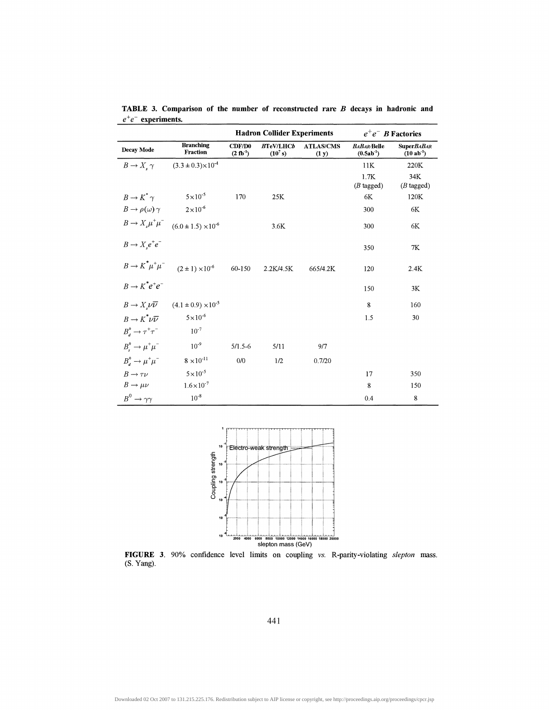|                                  |                                                                   | <b>Hadron Collider Experiments</b> |                                |                           | $e^+e^-$ B Factories              |                                 |  |
|----------------------------------|-------------------------------------------------------------------|------------------------------------|--------------------------------|---------------------------|-----------------------------------|---------------------------------|--|
| Decay Mode                       | <b>Branching</b><br>Fraction                                      | CDF/D0<br>$(2 fb-1)$               | <b>BTeV/LHCb</b><br>$(10^7 s)$ | <b>ATLAS/CMS</b><br>(1 y) | <b>BABAR</b> Belle<br>$(0.5ab-1)$ | <b>SuperBABAR</b><br>$(10ab-1)$ |  |
| $B \to X_\cdot \gamma$           | $(3.3 \pm 0.3) \times 10^{-4}$                                    |                                    |                                |                           | 11K                               | 220K                            |  |
|                                  |                                                                   |                                    |                                |                           | 1.7K<br>$(B$ tagged)              | 34K<br>$(B$ tagged)             |  |
| $B \to K^{\dagger} \gamma$       | $5 \times 10^{-5}$                                                | 170                                | 25K                            |                           | 6K                                | 120K                            |  |
| $B \to \rho(\omega) \gamma$      | $2 \times 10^{-6}$                                                |                                    |                                |                           | 300                               | 6K                              |  |
|                                  | $B \to X_s \mu^+ \mu^-$ (6.0 ± 1.5) × 10 <sup>-6</sup>            |                                    | 3.6K                           |                           | 300                               | 6K                              |  |
| $B \to X_e e^+ e^-$              |                                                                   |                                    |                                |                           | 350                               | 7K                              |  |
| $B \to K^* \mu^+ \mu^-$          | $(2 \pm 1) \times 10^{-6}$                                        | 60-150                             | 2.2K/4.5K                      | 665/4.2K                  | 120                               | 2.4K                            |  |
| $B \rightarrow K^* e^+ e^-$      |                                                                   |                                    |                                |                           | 150                               | 3K                              |  |
|                                  | $B \to X_{\mu} \nu \overline{\nu}$ (4.1 ± 0.9) × 10 <sup>-5</sup> |                                    |                                |                           | 8                                 | 160                             |  |
| $B \to K^* \nu \overline{\nu}$   | $5 \times 10^{-6}$                                                |                                    |                                |                           | 1.5                               | 30                              |  |
| $B^0_d \rightarrow \tau^+\tau^-$ | $10^{-7}$                                                         |                                    |                                |                           |                                   |                                 |  |
| $B_s^0 \to \mu^+ \mu^-$          | $10^{-9}$                                                         | $5/1.5 - 6$                        | 5/11                           | 9/7                       |                                   |                                 |  |
| $B_a^0 \rightarrow \mu^+\mu^-$   | $8 \times 10^{-11}$                                               | 0/0                                | 1/2                            | 0.7/20                    |                                   |                                 |  |
| $B \rightarrow \tau \nu$         | $5 \times 10^{-5}$                                                |                                    |                                |                           | 17                                | 350                             |  |
| $B \to \mu \nu$                  | $1.6 \times 10^{-7}$                                              |                                    |                                |                           | 8                                 | 150                             |  |
| $B^0 \rightarrow \gamma \gamma$  | $10^{-8}$                                                         |                                    |                                |                           | 0.4                               | 8                               |  |

**TABLE 3. Comparison of the number of reconstructed rare** *B* **decays in hadronic and** *e + e~* **experiments.**



**FIGURE 3.** 90% confidence level limits on coupling vs. R-parity-violating *slepton* mass. (S. Yang).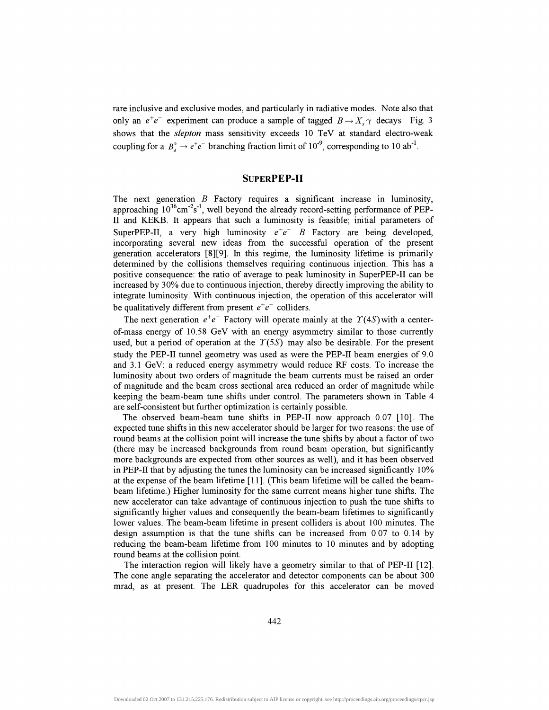rare inclusive and exclusive modes, and particularly in radiative modes. Note also that only an  $e^+e^-$  experiment can produce a sample of tagged  $B \rightarrow X$ ,  $\gamma$  decays. Fig. 3 shows that the *slepton* mass sensitivity exceeds 10 TeV at standard electro-weak coupling for a  $B^0$   $\rightarrow e^+e^-$  branching fraction limit of 10<sup>-9</sup>, corresponding to 10 ab<sup>-1</sup>.

## **SUPERPEP-II**

The next generation *B* Factory requires a significant increase in luminosity, approaching  $10^{36}$ cm<sup>-2</sup>s<sup>-1</sup>, well beyond the already record-setting performance of PEP-II and KEKB. It appears that such a luminosity is feasible; initial parameters of SuperPEP-II, a very high luminosity  $e^+e^-$  B Factory are being developed, incorporating several new ideas from the successful operation of the present generation accelerators [8][9]. In this regime, the luminosity lifetime is primarily determined by the collisions themselves requiring continuous injection. This has a positive consequence: the ratio of average to peak luminosity in SuperPEP-II can be increased by 30% due to continuous injection, thereby directly improving the ability to integrate luminosity. With continuous injection, the operation of this accelerator will be qualitatively different from present *e<sup>+</sup> e~* colliders.

The next generation  $e^+e^-$  Factory will operate mainly at the  $\Upsilon(4S)$  with a centerof-mass energy of 10.58 GeV with an energy asymmetry similar to those currently used, but a period of operation at the  $T(5S)$  may also be desirable. For the present study the PEP-II tunnel geometry was used as were the PEP-II beam energies of 9.0 and 3.1 GeV: a reduced energy asymmetry would reduce RF costs. To increase the luminosity about two orders of magnitude the beam currents must be raised an order of magnitude and the beam cross sectional area reduced an order of magnitude while keeping the beam-beam tune shifts under control. The parameters shown in Table 4 are self-consistent but further optimization is certainly possible.

The observed beam-beam tune shifts in PEP-II now approach 0.07 [10]. The expected tune shifts in this new accelerator should be larger for two reasons: the use of round beams at the collision point will increase the tune shifts by about a factor of two (there may be increased backgrounds from round beam operation, but significantly more backgrounds are expected from other sources as well), and it has been observed in PEP-II that by adjusting the tunes the luminosity can be increased significantly 10% at the expense of the beam lifetime [11]. (This beam lifetime will be called the beambeam lifetime.) Higher luminosity for the same current means higher tune shifts. The new accelerator can take advantage of continuous injection to push the tune shifts to significantly higher values and consequently the beam-beam lifetimes to significantly lower values. The beam-beam lifetime in present colliders is about 100 minutes. The design assumption is that the tune shifts can be increased from 0.07 to 0.14 by reducing the beam-beam lifetime from 100 minutes to 10 minutes and by adopting round beams at the collision point.

The interaction region will likely have a geometry similar to that of PEP-II [12]. The cone angle separating the accelerator and detector components can be about 300 mrad, as at present. The LER quadrupoles for this accelerator can be moved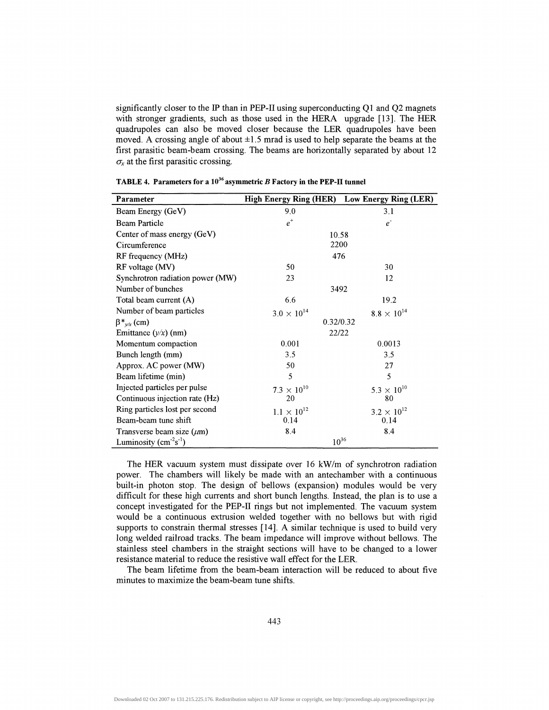significantly closer to the IP than in PEP-II using superconducting Ql and Q2 magnets with stronger gradients, such as those used in the HERA upgrade [13]. The HER quadrupoles can also be moved closer because the LER quadrupoles have been moved. A crossing angle of about  $\pm 1.5$  mrad is used to help separate the beams at the first parasitic beam-beam crossing. The beams are horizontally separated by about 12  $\sigma<sub>x</sub>$  at the first parasitic crossing.

| Parameter                        | High Energy Ring (HER) Low Energy Ring (LER) |                      |
|----------------------------------|----------------------------------------------|----------------------|
| Beam Energy (GeV)                | 9.0                                          | 3.1                  |
| <b>Beam Particle</b>             | $e^+$                                        | e <sup>z</sup>       |
| Center of mass energy (GeV)      | 10.58                                        |                      |
| Circumference                    | 2200                                         |                      |
| RF frequency (MHz)               | 476                                          |                      |
| RF voltage (MV)                  | 50                                           | 30                   |
| Synchrotron radiation power (MW) | 23                                           | 12                   |
| Number of bunches                | 3492                                         |                      |
| Total beam current (A)           | 6.6                                          | 19.2                 |
| Number of beam particles         | $3.0 \times 10^{14}$                         | $8.8 \times 10^{14}$ |
| $\beta^*_{\nu/x}$ (cm)           | 0.32/0.32                                    |                      |
| Emittance $(y/x)$ (nm)           | 22/22                                        |                      |
| Momentum compaction              | 0.001                                        | 0.0013               |
| Bunch length (mm)                | 3.5                                          | 3.5                  |
| Approx. AC power (MW)            | 50                                           | 27                   |
| Beam lifetime (min)              | 5                                            | 5                    |
| Injected particles per pulse     | $7.3 \times 10^{10}$                         | $5.3 \times 10^{10}$ |
| Continuous injection rate (Hz)   | 20                                           | 80                   |
| Ring particles lost per second   | $1.1 \times 10^{12}$                         | $3.2 \times 10^{12}$ |
| Beam-beam tune shift             | 0.14                                         | 0.14                 |
| Transverse beam size $(\mu m)$   | 8.4                                          | 8.4                  |
| Luminosity $(cm-2s-1)$           | $10^{36}$                                    |                      |

| <b>TABLE 4. Parameters for a <math>10^{36}</math> asymmetric B Factory in the PEP-II tunnel</b> |  |  |  |
|-------------------------------------------------------------------------------------------------|--|--|--|
|                                                                                                 |  |  |  |

The HER vacuum system must dissipate over 16 kW/m of synchrotron radiation power. The chambers will likely be made with an antechamber with a continuous built-in photon stop. The design of bellows (expansion) modules would be very difficult for these high currents and short bunch lengths. Instead, the plan is to use a concept investigated for the PEP-II rings but not implemented. The vacuum system would be a continuous extrusion welded together with no bellows but with rigid supports to constrain thermal stresses [14]. A similar technique is used to build very long welded railroad tracks. The beam impedance will improve without bellows. The stainless steel chambers in the straight sections will have to be changed to a lower resistance material to reduce the resistive wall effect for the LER.

The beam lifetime from the beam-beam interaction will be reduced to about five minutes to maximize the beam-beam tune shifts.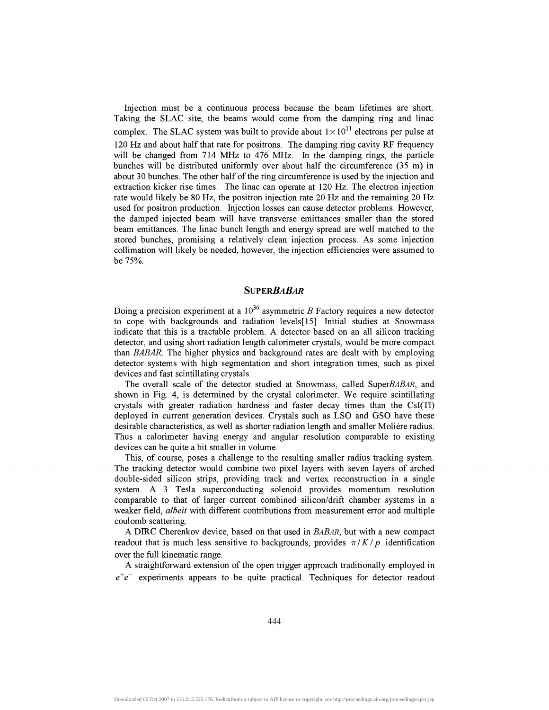Injection must be a continuous process because the beam lifetimes are short. Taking the SLAC site, the beams would come from the damping ring and linac complex. The SLAC system was built to provide about  $1 \times 10^{11}$  electrons per pulse at 120 Hz and about half that rate for positrons. The damping ring cavity RF frequency will be changed from 714 MHz to 476 MHz. In the damping rings, the particle bunches will be distributed uniformly over about half the circumference (35 m) in about 30 bunches. The other half of the ring circumference is used by the injection and extraction kicker rise times. The linac can operate at 120 Hz. The electron injection rate would likely be 80 Hz, the positron injection rate 20 Hz and the remaining 20 Hz used for positron production. Injection losses can cause detector problems. However, the damped injected beam will have transverse emittances smaller than the stored beam emittances. The linac bunch length and energy spread are well matched to the stored bunches, promising a relatively clean injection process. As some injection collimation will likely be needed, however, the injection efficiencies were assumed to be 75%.

#### *SVPERBABAR*

Doing a precision experiment at a  $10^{36}$  asymmetric B Factory requires a new detector to cope with backgrounds and radiation levels[15]. Initial studies at Snowmass indicate that this is a tractable problem. A detector based on an all silicon tracking detector, and using short radiation length calorimeter crystals, would be more compact than *BABAR.* The higher physics and background rates are dealt with by employing detector systems with high segmentation and short integration times, such as pixel devices and fast scintillating crystals.

The overall scale of the detector studied at Snowmass, called SuperBABAR, and shown in Fig. 4, is determined by the crystal calorimeter. We require scintillating crystals with greater radiation hardness and faster decay times than the CsI(Tl) deployed in current generation devices. Crystals such as LSO and GSO have these desirable characteristics, as well as shorter radiation length and smaller Moliere radius. Thus a calorimeter having energy and angular resolution comparable to existing devices can be quite a bit smaller in volume.

This, of course, poses a challenge to the resulting smaller radius tracking system. The tracking detector would combine two pixel layers with seven layers of arched double-sided silicon strips, providing track and vertex reconstruction in a single system. A 3 Tesla superconducting solenoid provides momentum resolution comparable to that of larger current combined silicon/drift chamber systems in a weaker field, *albeit* with different contributions from measurement error and multiple coulomb scattering.

A DIRC Cherenkov device, based on that used in *BABAR,* but with a new compact readout that is much less sensitive to backgrounds, provides  $\pi/K/p$  identification over the full kinematic range.

A straightforward extension of the open trigger approach traditionally employed in  $e^+e^-$  experiments appears to be quite practical. Techniques for detector readout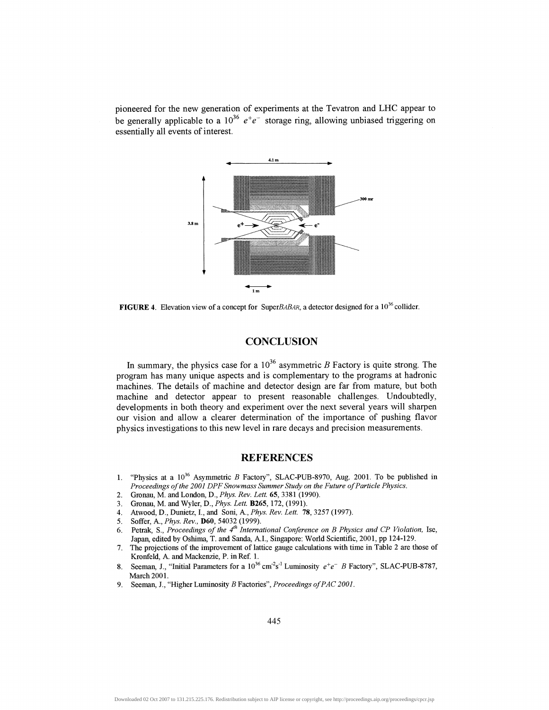pioneered for the new generation of experiments at the Tevatron and LHC appear to be generally applicable to a 10<sup>36</sup>  $e^+e^-$  storage ring, allowing unbiased triggering on essentially all events of interest.



**FIGURE 4.** Elevation view of a concept for SuperBABAR, a detector designed for a  $10^{36}$  collider

# **CONCLUSION**

In summary, the physics case for a  $10^{36}$  asymmetric B Factory is quite strong. The program has many unique aspects and is complementary to the programs at hadronic machines. The details of machine and detector design are far from mature, but both machine and detector appear to present reasonable challenges. Undoubtedly, developments in both theory and experiment over the next several years will sharpen our vision and allow a clearer determination of the importance of pushing flavor physics investigations to this new level in rare decays and precision measurements.

# **REFERENCES**

- 1. "Physics at a 10<sup>36</sup> Asymmetric *B* Factory", SLAC-PUB-8970, Aug. 2001. To be published in *Proceedings of the 2001 DPF Snowmass Summer Study on the Future of Particle Physics.*
- 2. Gronau, M. and London, D., *Phys. Rev. Lett.* **65,** 3381 (1990).
- 3. Gronau, M. and Wyler, D., *Phys. Lett.* **B265,**172, (1991).
- 4. Atwood, D., Dunietz, I., and Soni, A., *Phys. Rev. Lett.* 78, 3257 (1997).
- 5. Soffer, A., *Phys. Rev.,* **D60,** 54032 (1999).
- 6. Petrak, S., *Proceedings of the 4th International Conference on B Physics and CP Violation,* Ise, Japan, edited by Oshima, T. and Sanda, A.I., Singapore: World Scientific, 2001, pp 124-129.
- 7. The projections of the improvement of lattice gauge calculations with time in Table 2 are those of Kronfeld, A. and Mackenzie, P. in Ref. 1.
- 8. Seeman, J., "Initial Parameters for a  $10^{36}$  cm<sup>2</sup>s<sup>-1</sup> Luminosity  $e^+e^-$  B Factory", SLAC-PUB-8787, March 2001.
- 9. Seeman, J., "Higher Luminosity *B* Factories", *Proceedings ofPAC 2001.*